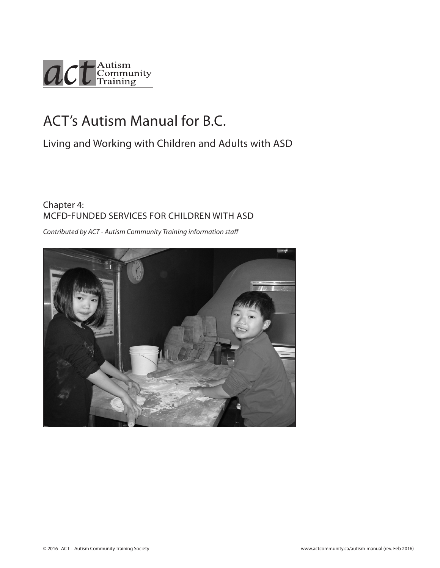

# ACT's Autism Manual for B.C.

Living and Working with Children and Adults with ASD

# Chapter 4: MCFD-FUNDED SERVICES FOR CHILDREN WITH ASD

*Contributed by ACT - Autism Community Training information staff*

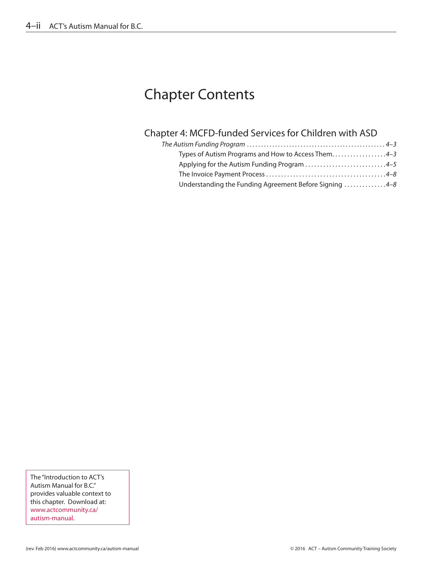# Chapter Contents

# Chapter 4: MCFD-funded Services for Children with ASD

| Types of Autism Programs and How to Access Them4-3     |
|--------------------------------------------------------|
| Applying for the Autism Funding Program 4-5            |
|                                                        |
| Understanding the Funding Agreement Before Signing 4-8 |

The "Introduction to ACT's Autism Manual for B.C." provides valuable context to this chapter. Download at: www.actcommunity.ca/ autism-manual.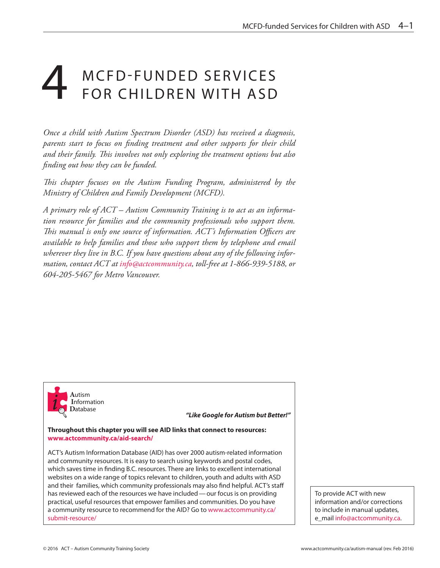# M C F D - F UNDED SERVICES FOR CHILDREN WITH ASD

*Once a child with Autism Spectrum Disorder (ASD) has received a diagnosis, parents start to focus on finding treatment and other supports for their child and their family. This involves not only exploring the treatment options but also finding out how they can be funded.*

*This chapter focuses on the Autism Funding Program, administered by the Ministry of Children and Family Development (MCFD).*

*A primary role of ACT – Autism Community Training is to act as an information resource for families and the community professionals who support them. This manual is only one source of information. ACT's Information Officers are available to help families and those who support them by telephone and email wherever they live in B.C. If you have questions about any of the following information, contact ACT at info@actcommunity.ca, toll-free at 1-866-939-5188, or 604-205-5467 for Metro Vancouver.*



*"Like Google for Autism but Better!"*

**Throughout this chapter you will see AID links that connect to resources: www.actcommunity.ca/aid-search/** 

ACT's Autism Information Database (AID) has over 2000 autism-related information and community resources. It is easy to search using keywords and postal codes, which saves time in finding B.C. resources. There are links to excellent international websites on a wide range of topics relevant to children, youth and adults with ASD and their families, which community professionals may also find helpful. ACT's staff has reviewed each of the resources we have included—our focus is on providing practical, useful resources that empower families and communities. Do you have a community resource to recommend for the AID? Go to www.actcommunity.ca/ submit-resource/

To provide ACT with new information and/or corrections to include in manual updates, e\_mail info@actcommunity.ca.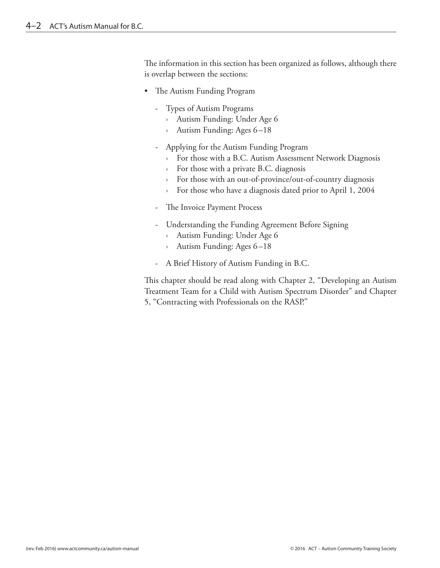The information in this section has been organized as follows, although there is overlap between the sections:

- The Autism Funding Program
	- Types of Autism Programs
		- › Autism Funding: Under Age 6
		- › Autism Funding: Ages 6–18
	- Applying for the Autism Funding Program
		- › For those with a B.C. Autism Assessment Network Diagnosis
		- › For those with a private B.C. diagnosis
		- › For those with an out-of-province/out-of-country diagnosis
		- › For those who have a diagnosis dated prior to April 1, 2004
	- The Invoice Payment Process
	- Understanding the Funding Agreement Before Signing
		- › Autism Funding: Under Age 6
		- › Autism Funding: Ages 6–18
	- A Brief History of Autism Funding in B.C.

This chapter should be read along with Chapter 2, "Developing an Autism Treatment Team for a Child with Autism Spectrum Disorder" and Chapter 5, "Contracting with Professionals on the RASP."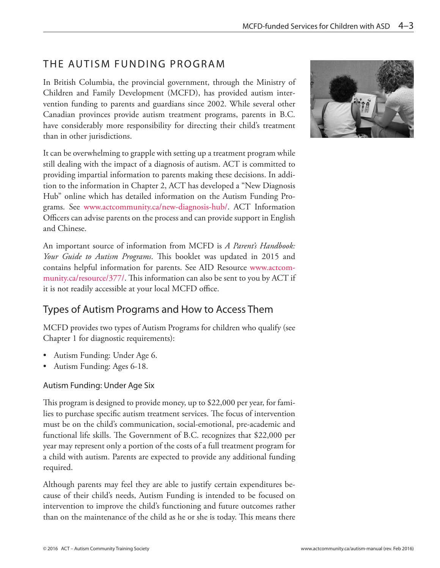# THE AUTISM FUNDING PROGRAM

In British Columbia, the provincial government, through the Ministry of Children and Family Development (MCFD), has provided autism intervention funding to parents and guardians since 2002. While several other Canadian provinces provide autism treatment programs, parents in B.C. have considerably more responsibility for directing their child's treatment than in other jurisdictions.

It can be overwhelming to grapple with setting up a treatment program while still dealing with the impact of a diagnosis of autism. ACT is committed to providing impartial information to parents making these decisions. In addition to the information in Chapter 2, ACT has developed a "New Diagnosis Hub" online which has detailed information on the Autism Funding Programs. See www.actcommunity.ca/new-diagnosis-hub/. ACT Information Officers can advise parents on the process and can provide support in English and Chinese.

An important source of information from MCFD is *A Parent's Handbook: Your Guide to Autism Programs*. This booklet was updated in 2015 and contains helpful information for parents. See AID Resource www.actcommunity.ca/resource/377/. This information can also be sent to you by ACT if it is not readily accessible at your local MCFD office.

# Types of Autism Programs and How to Access Them

MCFD provides two types of Autism Programs for children who qualify (see Chapter 1 for diagnostic requirements):

- Autism Funding: Under Age 6.
- Autism Funding: Ages 6-18.

## Autism Funding: Under Age Six

This program is designed to provide money, up to \$22,000 per year, for families to purchase specific autism treatment services. The focus of intervention must be on the child's communication, social-emotional, pre-academic and functional life skills. The Government of B.C. recognizes that \$22,000 per year may represent only a portion of the costs of a full treatment program for a child with autism. Parents are expected to provide any additional funding required.

Although parents may feel they are able to justify certain expenditures because of their child's needs, Autism Funding is intended to be focused on intervention to improve the child's functioning and future outcomes rather than on the maintenance of the child as he or she is today. This means there

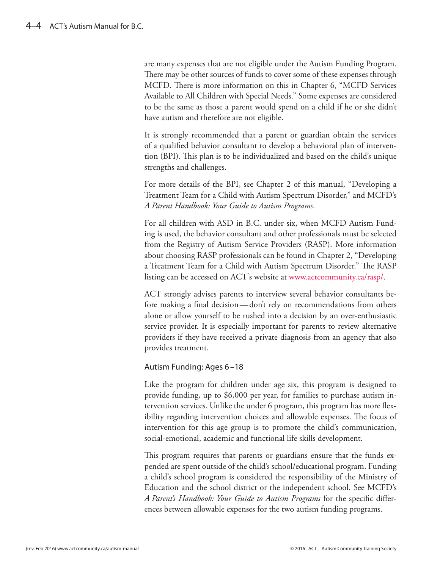are many expenses that are not eligible under the Autism Funding Program. There may be other sources of funds to cover some of these expenses through MCFD. There is more information on this in Chapter 6, "MCFD Services Available to All Children with Special Needs." Some expenses are considered to be the same as those a parent would spend on a child if he or she didn't have autism and therefore are not eligible.

It is strongly recommended that a parent or guardian obtain the services of a qualified behavior consultant to develop a behavioral plan of intervention (BPI). This plan is to be individualized and based on the child's unique strengths and challenges.

For more details of the BPI, see Chapter 2 of this manual, "Developing a Treatment Team for a Child with Autism Spectrum Disorder," and MCFD's *A Parent Handbook: Your Guide to Autism Programs*.

For all children with ASD in B.C. under six, when MCFD Autism Funding is used, the behavior consultant and other professionals must be selected from the Registry of Autism Service Providers (RASP). More information about choosing RASP professionals can be found in Chapter 2, "Developing a Treatment Team for a Child with Autism Spectrum Disorder." The RASP listing can be accessed on ACT's website at www.actcommunity.ca/rasp/.

ACT strongly advises parents to interview several behavior consultants before making a final decision—don't rely on recommendations from others alone or allow yourself to be rushed into a decision by an over-enthusiastic service provider. It is especially important for parents to review alternative providers if they have received a private diagnosis from an agency that also provides treatment.

### Autism Funding: Ages 6–18

Like the program for children under age six, this program is designed to provide funding, up to \$6,000 per year, for families to purchase autism intervention services. Unlike the under 6 program, this program has more flexibility regarding intervention choices and allowable expenses. The focus of intervention for this age group is to promote the child's communication, social-emotional, academic and functional life skills development.

This program requires that parents or guardians ensure that the funds expended are spent outside of the child's school/educational program. Funding a child's school program is considered the responsibility of the Ministry of Education and the school district or the independent school. See MCFD's *A Parent's Handbook: Your Guide to Autism Programs* for the specific differences between allowable expenses for the two autism funding programs.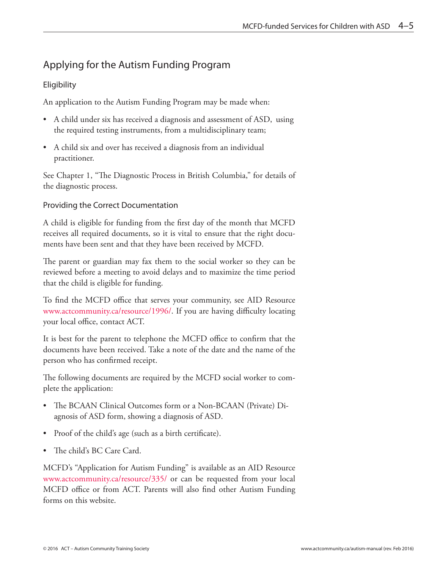# Applying for the Autism Funding Program

## **Eligibility**

An application to the Autism Funding Program may be made when:

- A child under six has received a diagnosis and assessment of ASD, using the required testing instruments, from a multidisciplinary team;
- A child six and over has received a diagnosis from an individual practitioner.

See Chapter 1, "The Diagnostic Process in British Columbia," for details of the diagnostic process.

## Providing the Correct Documentation

A child is eligible for funding from the first day of the month that MCFD receives all required documents, so it is vital to ensure that the right documents have been sent and that they have been received by MCFD.

The parent or guardian may fax them to the social worker so they can be reviewed before a meeting to avoid delays and to maximize the time period that the child is eligible for funding.

To find the MCFD office that serves your community, see AID Resource www.actcommunity.ca/resource/1996/. If you are having difficulty locating your local office, contact ACT.

It is best for the parent to telephone the MCFD office to confirm that the documents have been received. Take a note of the date and the name of the person who has confirmed receipt.

The following documents are required by the MCFD social worker to complete the application:

- The BCAAN Clinical Outcomes form or a Non-BCAAN (Private) Diagnosis of ASD form, showing a diagnosis of ASD.
- Proof of the child's age (such as a birth certificate).
- The child's BC Care Card.

MCFD's "Application for Autism Funding" is available as an AID Resource www.actcommunity.ca/resource/335/ or can be requested from your local MCFD office or from ACT. Parents will also find other Autism Funding forms on this website.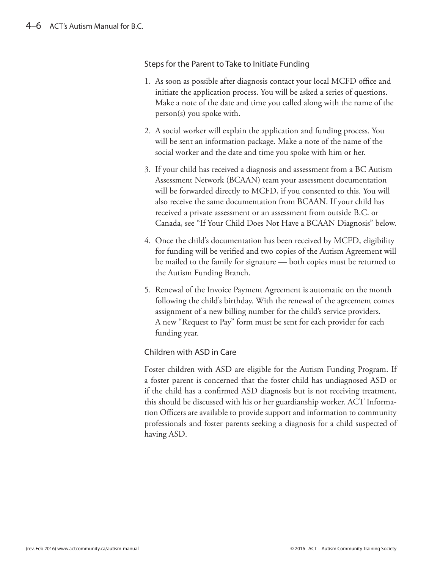### Steps for the Parent to Take to Initiate Funding

- 1. As soon as possible after diagnosis contact your local MCFD office and initiate the application process. You will be asked a series of questions. Make a note of the date and time you called along with the name of the person(s) you spoke with.
- 2. A social worker will explain the application and funding process. You will be sent an information package. Make a note of the name of the social worker and the date and time you spoke with him or her.
- 3. If your child has received a diagnosis and assessment from a BC Autism Assessment Network (BCAAN) team your assessment documentation will be forwarded directly to MCFD, if you consented to this. You will also receive the same documentation from BCAAN. If your child has received a private assessment or an assessment from outside B.C. or Canada, see "If Your Child Does Not Have a BCAAN Diagnosis" below.
- 4. Once the child's documentation has been received by MCFD, eligibility for funding will be verified and two copies of the Autism Agreement will be mailed to the family for signature — both copies must be returned to the Autism Funding Branch.
- 5. Renewal of the Invoice Payment Agreement is automatic on the month following the child's birthday. With the renewal of the agreement comes assignment of a new billing number for the child's service providers. A new "Request to Pay" form must be sent for each provider for each funding year.

## Children with ASD in Care

Foster children with ASD are eligible for the Autism Funding Program. If a foster parent is concerned that the foster child has undiagnosed ASD or if the child has a confirmed ASD diagnosis but is not receiving treatment, this should be discussed with his or her guardianship worker. ACT Information Officers are available to provide support and information to community professionals and foster parents seeking a diagnosis for a child suspected of having ASD.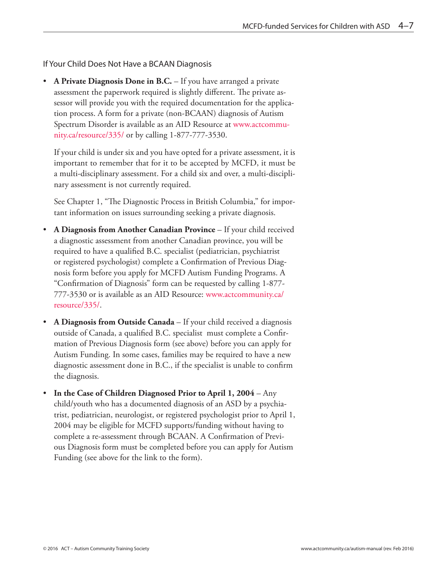If Your Child Does Not Have a BCAAN Diagnosis

• **A Private Diagnosis Done in B.C.** – If you have arranged a private assessment the paperwork required is slightly different. The private assessor will provide you with the required documentation for the application process. A form for a private (non-BCAAN) diagnosis of Autism Spectrum Disorder is available as an AID Resource at www.actcommunity.ca/resource/335/ or by calling 1-877-777-3530.

If your child is under six and you have opted for a private assessment, it is important to remember that for it to be accepted by MCFD, it must be a multi-disciplinary assessment. For a child six and over, a multi-disciplinary assessment is not currently required.

See Chapter 1, "The Diagnostic Process in British Columbia," for important information on issues surrounding seeking a private diagnosis.

- **A Diagnosis from Another Canadian Province** If your child received a diagnostic assessment from another Canadian province, you will be required to have a qualified B.C. specialist (pediatrician, psychiatrist or registered psychologist) complete a Confirmation of Previous Diagnosis form before you apply for MCFD Autism Funding Programs. A "Confirmation of Diagnosis" form can be requested by calling 1-877- 777-3530 or is available as an AID Resource: www.actcommunity.ca/ resource/335/.
- **A Diagnosis from Outside Canada** If your child received a diagnosis outside of Canada, a qualified B.C. specialist must complete a Confirmation of Previous Diagnosis form (see above) before you can apply for Autism Funding. In some cases, families may be required to have a new diagnostic assessment done in B.C., if the specialist is unable to confirm the diagnosis.
- **In the Case of Children Diagnosed Prior to April 1, 2004** Any child/youth who has a documented diagnosis of an ASD by a psychiatrist, pediatrician, neurologist, or registered psychologist prior to April 1, 2004 may be eligible for MCFD supports/funding without having to complete a re-assessment through BCAAN. A Confirmation of Previous Diagnosis form must be completed before you can apply for Autism Funding (see above for the link to the form).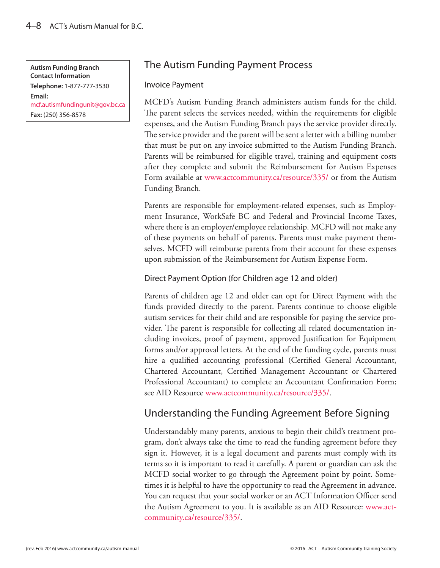**Autism Funding Branch Contact Information Telephone:** 1-877-777-3530 **Email:** mcf.autismfundingunit@gov.bc.ca **Fax:** (250) 356-8578

# The Autism Funding Payment Process

### Invoice Payment

MCFD's Autism Funding Branch administers autism funds for the child. The parent selects the services needed, within the requirements for eligible expenses, and the Autism Funding Branch pays the service provider directly. The service provider and the parent will be sent a letter with a billing number that must be put on any invoice submitted to the Autism Funding Branch. Parents will be reimbursed for eligible travel, training and equipment costs after they complete and submit the Reimbursement for Autism Expenses Form available at www.actcommunity.ca/resource/335/ or from the Autism Funding Branch.

Parents are responsible for employment-related expenses, such as Employment Insurance, WorkSafe BC and Federal and Provincial Income Taxes, where there is an employer/employee relationship. MCFD will not make any of these payments on behalf of parents. Parents must make payment themselves. MCFD will reimburse parents from their account for these expenses upon submission of the Reimbursement for Autism Expense Form.

## Direct Payment Option (for Children age 12 and older)

Parents of children age 12 and older can opt for Direct Payment with the funds provided directly to the parent. Parents continue to choose eligible autism services for their child and are responsible for paying the service provider. The parent is responsible for collecting all related documentation including invoices, proof of payment, approved Justification for Equipment forms and/or approval letters. At the end of the funding cycle, parents must hire a qualified accounting professional (Certified General Accountant, Chartered Accountant, Certified Management Accountant or Chartered Professional Accountant) to complete an Accountant Confirmation Form; see AID Resource www.actcommunity.ca/resource/335/.

# Understanding the Funding Agreement Before Signing

Understandably many parents, anxious to begin their child's treatment program, don't always take the time to read the funding agreement before they sign it. However, it is a legal document and parents must comply with its terms so it is important to read it carefully. A parent or guardian can ask the MCFD social worker to go through the Agreement point by point. Sometimes it is helpful to have the opportunity to read the Agreement in advance. You can request that your social worker or an ACT Information Officer send the Autism Agreement to you. It is available as an AID Resource: www.actcommunity.ca/resource/335/.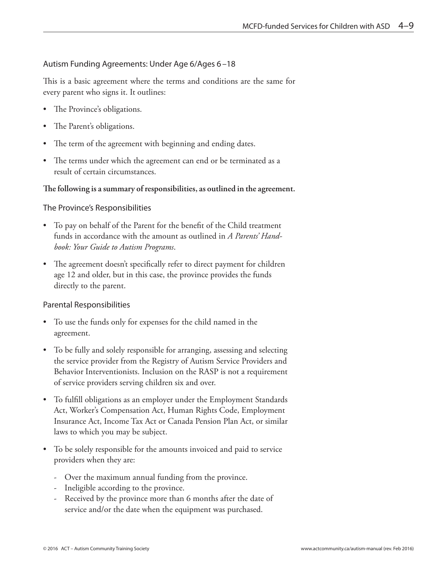### Autism Funding Agreements: Under Age 6/Ages 6–18

This is a basic agreement where the terms and conditions are the same for every parent who signs it. It outlines:

- The Province's obligations.
- The Parent's obligations.
- The term of the agreement with beginning and ending dates.
- The terms under which the agreement can end or be terminated as a result of certain circumstances.

#### **The following is a summary of responsibilities, as outlined in the agreement.**

### The Province's Responsibilities

- To pay on behalf of the Parent for the benefit of the Child treatment funds in accordance with the amount as outlined in *A Parents' Handbook: Your Guide to Autism Programs*.
- The agreement doesn't specifically refer to direct payment for children age 12 and older, but in this case, the province provides the funds directly to the parent.

### Parental Responsibilities

- To use the funds only for expenses for the child named in the agreement.
- To be fully and solely responsible for arranging, assessing and selecting the service provider from the Registry of Autism Service Providers and Behavior Interventionists. Inclusion on the RASP is not a requirement of service providers serving children six and over.
- To fulfill obligations as an employer under the Employment Standards Act, Worker's Compensation Act, Human Rights Code, Employment Insurance Act, Income Tax Act or Canada Pension Plan Act, or similar laws to which you may be subject.
- To be solely responsible for the amounts invoiced and paid to service providers when they are:
	- Over the maximum annual funding from the province.
	- Ineligible according to the province.
	- Received by the province more than 6 months after the date of service and/or the date when the equipment was purchased.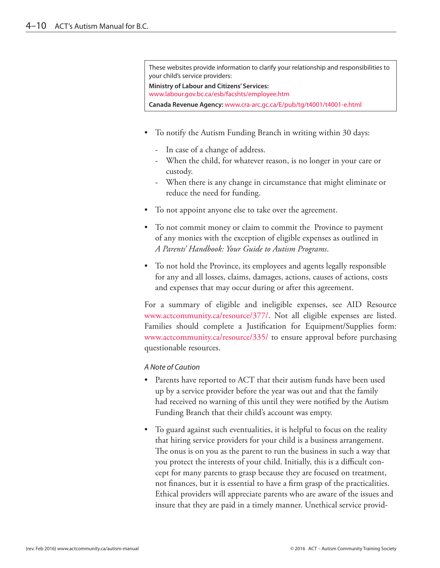These websites provide information to clarify your relationship and responsibilities to your child's service providers:

**Ministry of Labour and Citizens' Services:**

www.labour.gov.bc.ca/esb/facshts/employee.htm

**Canada Revenue Agency:** www.cra-arc.gc.ca/E/pub/tg/t4001/t4001-e.html

- To notify the Autism Funding Branch in writing within 30 days:
	- In case of a change of address.
	- When the child, for whatever reason, is no longer in your care or custody.
	- When there is any change in circumstance that might eliminate or reduce the need for funding.
- To not appoint anyone else to take over the agreement.
- To not commit money or claim to commit the Province to payment of any monies with the exception of eligible expenses as outlined in *A Parents' Handbook: Your Guide to Autism Programs*.
- To not hold the Province, its employees and agents legally responsible for any and all losses, claims, damages, actions, causes of actions, costs and expenses that may occur during or after this agreement.

For a summary of eligible and ineligible expenses, see AID Resource www.actcommunity.ca/resource/377/. Not all eligible expenses are listed. Families should complete a Justification for Equipment/Supplies form: www.actcommunity.ca/resource/335/ to ensure approval before purchasing questionable resources.

#### *A Note of Caution*

- Parents have reported to ACT that their autism funds have been used up by a service provider before the year was out and that the family had received no warning of this until they were notified by the Autism Funding Branch that their child's account was empty.
- To guard against such eventualities, it is helpful to focus on the reality that hiring service providers for your child is a business arrangement. The onus is on you as the parent to run the business in such a way that you protect the interests of your child. Initially, this is a difficult concept for many parents to grasp because they are focused on treatment, not finances, but it is essential to have a firm grasp of the practicalities. Ethical providers will appreciate parents who are aware of the issues and insure that they are paid in a timely manner. Unethical service provid-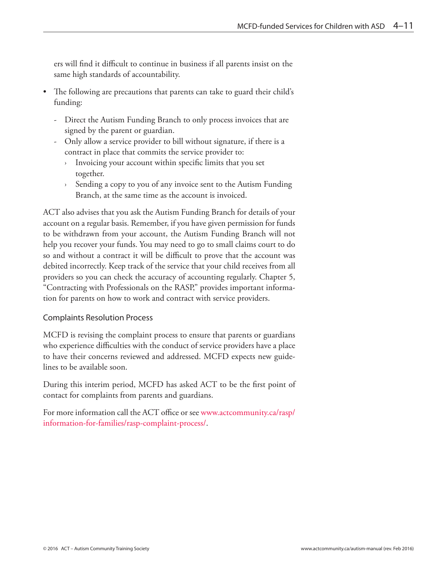ers will find it difficult to continue in business if all parents insist on the same high standards of accountability.

- The following are precautions that parents can take to guard their child's funding:
	- Direct the Autism Funding Branch to only process invoices that are signed by the parent or guardian.
	- Only allow a service provider to bill without signature, if there is a contract in place that commits the service provider to:
		- › Invoicing your account within specific limits that you set together.
		- › Sending a copy to you of any invoice sent to the Autism Funding Branch, at the same time as the account is invoiced.

ACT also advises that you ask the Autism Funding Branch for details of your account on a regular basis. Remember, if you have given permission for funds to be withdrawn from your account, the Autism Funding Branch will not help you recover your funds. You may need to go to small claims court to do so and without a contract it will be difficult to prove that the account was debited incorrectly. Keep track of the service that your child receives from all providers so you can check the accuracy of accounting regularly. Chapter 5, "Contracting with Professionals on the RASP," provides important information for parents on how to work and contract with service providers.

## Complaints Resolution Process

MCFD is revising the complaint process to ensure that parents or guardians who experience difficulties with the conduct of service providers have a place to have their concerns reviewed and addressed. MCFD expects new guidelines to be available soon.

During this interim period, MCFD has asked ACT to be the first point of contact for complaints from parents and guardians.

For more information call the ACT office or see www.actcommunity.ca/rasp/ information-for-families/rasp-complaint-process/.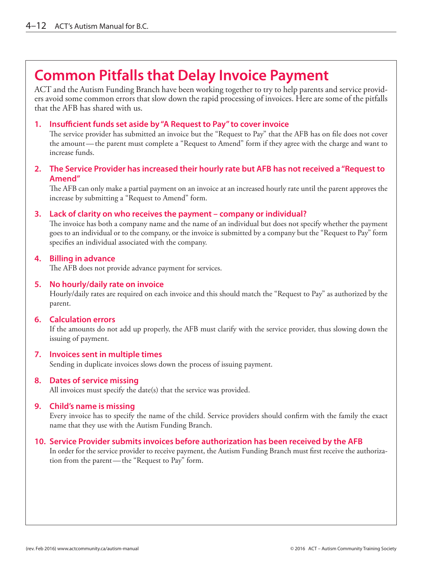# **Common Pitfalls that Delay Invoice Payment**

ACT and the Autism Funding Branch have been working together to try to help parents and service providers avoid some common errors that slow down the rapid processing of invoices. Here are some of the pitfalls that the AFB has shared with us.

### **1. Insufficient funds set aside by "A Request to Pay" to cover invoice**

The service provider has submitted an invoice but the "Request to Pay" that the AFB has on file does not cover the amount—the parent must complete a "Request to Amend" form if they agree with the charge and want to increase funds.

### **2. The Service Provider has increased their hourly rate but AFB has not received a "Request to Amend"**

The AFB can only make a partial payment on an invoice at an increased hourly rate until the parent approves the increase by submitting a "Request to Amend" form.

#### **3. Lack of clarity on who receives the payment – company or individual?**

The invoice has both a company name and the name of an individual but does not specify whether the payment goes to an individual or to the company, or the invoice is submitted by a company but the "Request to Pay" form specifies an individual associated with the company.

#### **4. Billing in advance**

The AFB does not provide advance payment for services.

#### **5. No hourly/daily rate on invoice**

Hourly/daily rates are required on each invoice and this should match the "Request to Pay" as authorized by the parent.

#### **6. Calculation errors**

If the amounts do not add up properly, the AFB must clarify with the service provider, thus slowing down the issuing of payment.

#### **7. Invoices sent in multiple times**

Sending in duplicate invoices slows down the process of issuing payment.

#### **8. Dates of service missing**

All invoices must specify the date(s) that the service was provided.

#### **9. Child's name is missing**

Every invoice has to specify the name of the child. Service providers should confirm with the family the exact name that they use with the Autism Funding Branch.

#### **10. Service Provider submits invoices before authorization has been received by the AFB**

In order for the service provider to receive payment, the Autism Funding Branch must first receive the authorization from the parent—the "Request to Pay" form.